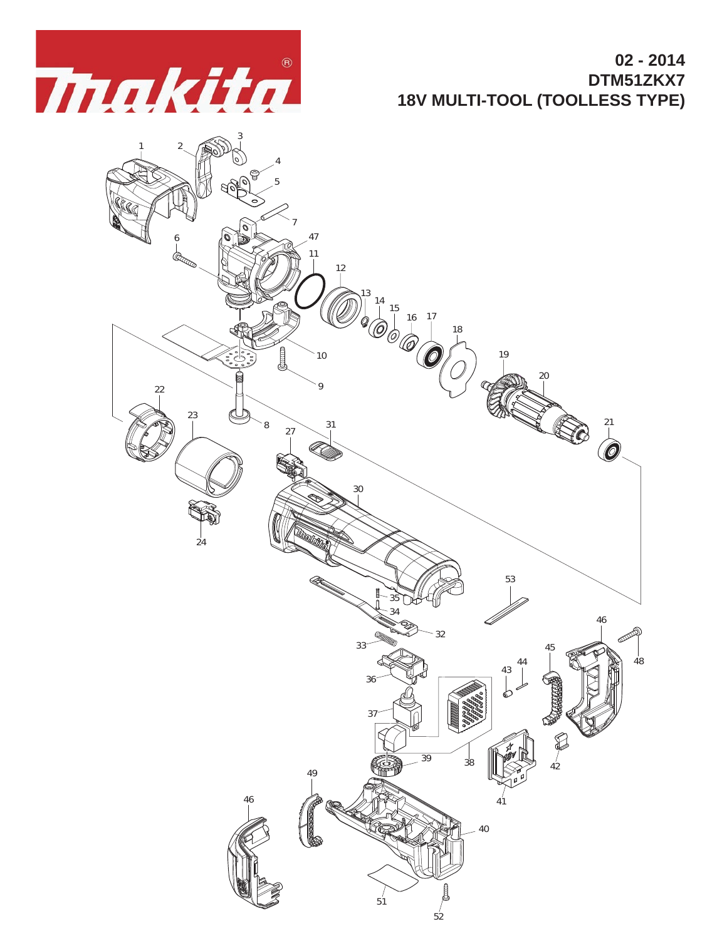

**02 - 2014 DTM51ZKX7 18V MULTI-TOOL (TOOLLESS TYPE)**

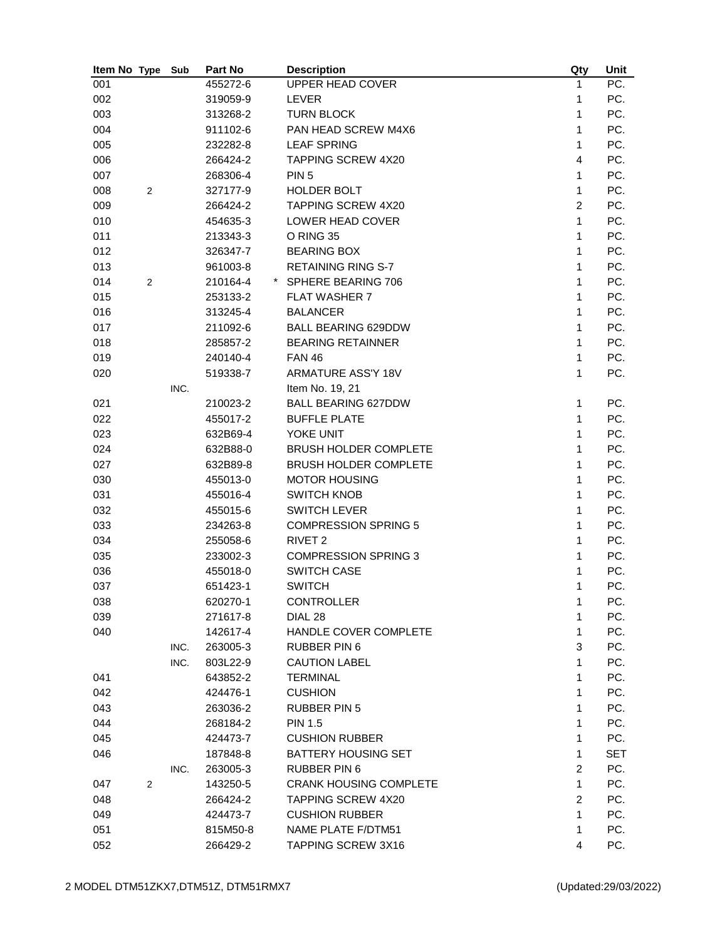| Item No Type          | Sub  | Part No  | <b>Description</b>            | Qty            | Unit |
|-----------------------|------|----------|-------------------------------|----------------|------|
| 001                   |      | 455272-6 | UPPER HEAD COVER              | 1              | PC.  |
| 002                   |      | 319059-9 | <b>LEVER</b>                  | 1              | PC.  |
| 003                   |      | 313268-2 | <b>TURN BLOCK</b>             | 1              | PC.  |
| 004                   |      | 911102-6 | PAN HEAD SCREW M4X6           | 1              | PC.  |
| 005                   |      | 232282-8 | <b>LEAF SPRING</b>            | 1              | PC.  |
| 006                   |      | 266424-2 | <b>TAPPING SCREW 4X20</b>     | $\overline{4}$ | PC.  |
| 007                   |      | 268306-4 | PIN <sub>5</sub>              | 1              | PC.  |
| 008<br>2              |      | 327177-9 | <b>HOLDER BOLT</b>            | 1              | PC.  |
| 009                   |      | 266424-2 | <b>TAPPING SCREW 4X20</b>     | $\overline{2}$ | PC.  |
| 010                   |      | 454635-3 | LOWER HEAD COVER              | 1              | PC.  |
| 011                   |      | 213343-3 | O RING 35                     | 1              | PC.  |
| 012                   |      | 326347-7 | <b>BEARING BOX</b>            | 1              | PC.  |
| 013                   |      | 961003-8 | <b>RETAINING RING S-7</b>     | $\mathbf{1}$   | PC.  |
| 014<br>2              |      | 210164-4 | * SPHERE BEARING 706          | 1              | PC.  |
| 015                   |      | 253133-2 | <b>FLAT WASHER 7</b>          | 1              | PC.  |
| 016                   |      | 313245-4 | <b>BALANCER</b>               | 1              | PC.  |
| 017                   |      | 211092-6 | <b>BALL BEARING 629DDW</b>    | 1              | PC.  |
| 018                   |      | 285857-2 | <b>BEARING RETAINNER</b>      | 1              | PC.  |
| 019                   |      | 240140-4 | <b>FAN 46</b>                 | 1              | PC.  |
| 020                   |      | 519338-7 | <b>ARMATURE ASS'Y 18V</b>     | $\mathbf{1}$   | PC.  |
|                       | INC. |          | Item No. 19, 21               |                |      |
| 021                   |      | 210023-2 | <b>BALL BEARING 627DDW</b>    | 1              | PC.  |
| 022                   |      | 455017-2 | <b>BUFFLE PLATE</b>           | 1              | PC.  |
| 023                   |      | 632B69-4 | YOKE UNIT                     | 1              | PC.  |
| 024                   |      | 632B88-0 | <b>BRUSH HOLDER COMPLETE</b>  | 1              | PC.  |
| 027                   |      | 632B89-8 | <b>BRUSH HOLDER COMPLETE</b>  | 1              | PC.  |
| 030                   |      | 455013-0 | <b>MOTOR HOUSING</b>          | $\mathbf{1}$   | PC.  |
| 031                   |      | 455016-4 | <b>SWITCH KNOB</b>            | 1              | PC.  |
| 032                   |      | 455015-6 | <b>SWITCH LEVER</b>           | 1              | PC.  |
| 033                   |      | 234263-8 | <b>COMPRESSION SPRING 5</b>   | 1              | PC.  |
| 034                   |      | 255058-6 | RIVET <sub>2</sub>            | 1              | PC.  |
| 035                   |      | 233002-3 | <b>COMPRESSION SPRING 3</b>   | 1              | PC.  |
| 036                   |      | 455018-0 | <b>SWITCH CASE</b>            | 1              | PC.  |
| 037                   |      | 651423-1 | <b>SWITCH</b>                 | 1              | PC.  |
| 038                   |      | 620270-1 | <b>CONTROLLER</b>             | 1              | PC.  |
| 039                   |      | 271617-8 | DIAL 28                       | 1              | PC.  |
| 040                   |      | 142617-4 | HANDLE COVER COMPLETE         | 1              | PC.  |
|                       | INC. | 263005-3 | <b>RUBBER PIN 6</b>           | 3              | PC.  |
|                       | INC. | 803L22-9 | <b>CAUTION LABEL</b>          | 1              | PC.  |
| 041                   |      | 643852-2 | <b>TERMINAL</b>               | 1              | PC.  |
| 042                   |      | 424476-1 | <b>CUSHION</b>                | 1              | PC.  |
| 043                   |      | 263036-2 | <b>RUBBER PIN 5</b>           | 1              | PC.  |
| 044                   |      | 268184-2 | <b>PIN 1.5</b>                | 1              | PC.  |
| 045                   |      | 424473-7 | <b>CUSHION RUBBER</b>         | 1              | PC.  |
| 046                   |      | 187848-8 | <b>BATTERY HOUSING SET</b>    | 1              | SET  |
|                       | INC. | 263005-3 | <b>RUBBER PIN 6</b>           | $\overline{c}$ | PC.  |
| 047<br>$\overline{2}$ |      | 143250-5 | <b>CRANK HOUSING COMPLETE</b> | 1              | PC.  |
| 048                   |      | 266424-2 | TAPPING SCREW 4X20            | $\overline{c}$ | PC.  |
| 049                   |      | 424473-7 | <b>CUSHION RUBBER</b>         | $\mathbf{1}$   | PC.  |
| 051                   |      | 815M50-8 | NAME PLATE F/DTM51            | 1              | PC.  |
| 052                   |      | 266429-2 | TAPPING SCREW 3X16            | 4              | PC.  |
|                       |      |          |                               |                |      |